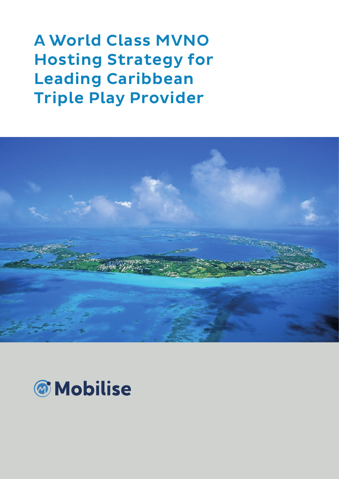A World Class MVNO Hosting Strategy for Leading Caribbean Triple Play Provider



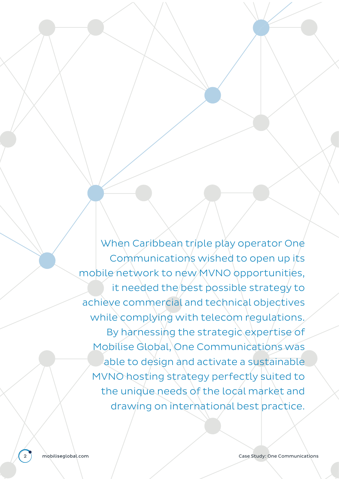When Caribbean triple play operator One Communications wished to open up its mobile network to new MVNO opportunities, it needed the best possible strategy to achieve commercial and technical objectives while complying with telecom regulations. By harnessing the strategic expertise of Mobilise Global, One Communications was able to design and activate a sustainable MVNO hosting strategy perfectly suited to the unique needs of the local market and drawing on international best practice.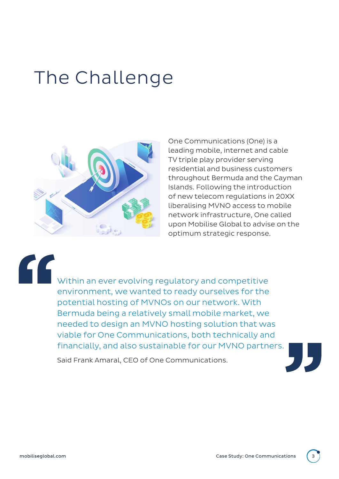## The Challenge



One Communications (One) is a leading mobile, internet and cable TV triple play provider serving residential and business customers throughout Bermuda and the Cayman Islands. Following the introduction of new telecom regulations in 20XX liberalising MVNO access to mobile network infrastructure, One called upon Mobilise Global to advise on the optimum strategic response.

Within an ever evolving regulatory and competitive environment, we wanted to ready ourselves for the potential hosting of MVNOs on our network. With Bermuda being a relatively small mobile market, we needed to design an MVNO hosting solution that was viable for One Communications, both technically and financially, and also sustainable for our MVNO partners.

Said Frank Amaral, CEO of One Communications.



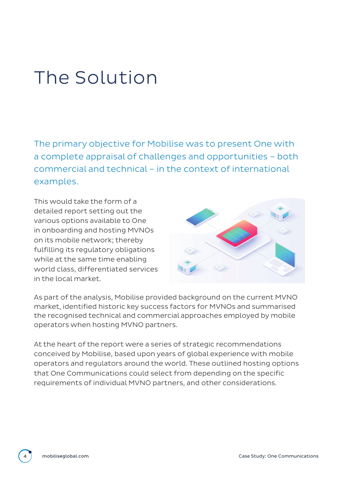## The Solution

The primary objective for Mobilise was to present One with a complete appraisal of challenges and opportunities – both commercial and technical – in the context of international examples.

This would take the form of a detailed report setting out the various options available to One in onboarding and hosting MVNOs on its mobile network; thereby fulfilling its regulatory obligations while at the same time enabling world class, differentiated services in the local market.



As part of the analysis, Mobilise provided background on the current MVNO market, identified historic key success factors for MVNOs and summarised the recognised technical and commercial approaches employed by mobile operators when hosting MVNO partners.

At the heart of the report were a series of strategic recommendations conceived by Mobilise, based upon years of global experience with mobile operators and regulators around the world. These outlined hosting options that One Communications could select from depending on the specific requirements of individual MVNO partners, and other considerations.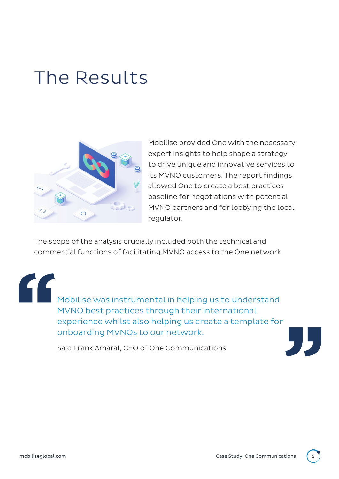## The Results



Mobilise provided One with the necessary expert insights to help shape a strategy to drive unique and innovative services to its MVNO customers. The report findings allowed One to create a best practices baseline for negotiations with potential MVNO partners and for lobbying the local regulator.

The scope of the analysis crucially included both the technical and commercial functions of facilitating MVNO access to the One network.

Mobilise was instrumental in helping us to understand MVNO best practices through their international experience whilst also helping us create a template for onboarding MVNOs to our network.

Said Frank Amaral, CEO of One Communications.

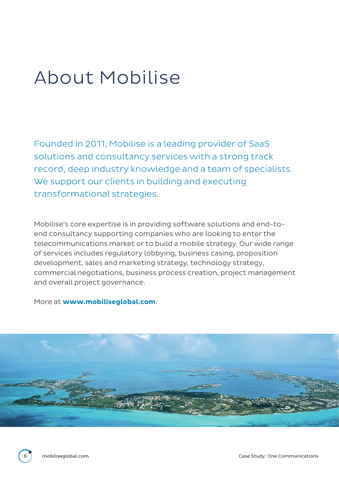## About Mobilise

Founded in 2011, Mobilise is a leading provider of SaaS solutions and consultancy services with a strong track record, deep industry knowledge and a team of specialists. We support our clients in building and executing transformational strategies.

Mobilise's core expertise is in providing software solutions and end-toend consultancy supporting companies who are looking to enter the telecommunications market or to build a mobile strategy. Our wide range of services includes regulatory lobbying, business casing, proposition development, sales and marketing strategy, technology strategy, commercial negotiations, business process creation, project management and overall project governance.

More at **www.mobiliseglobal.com**.